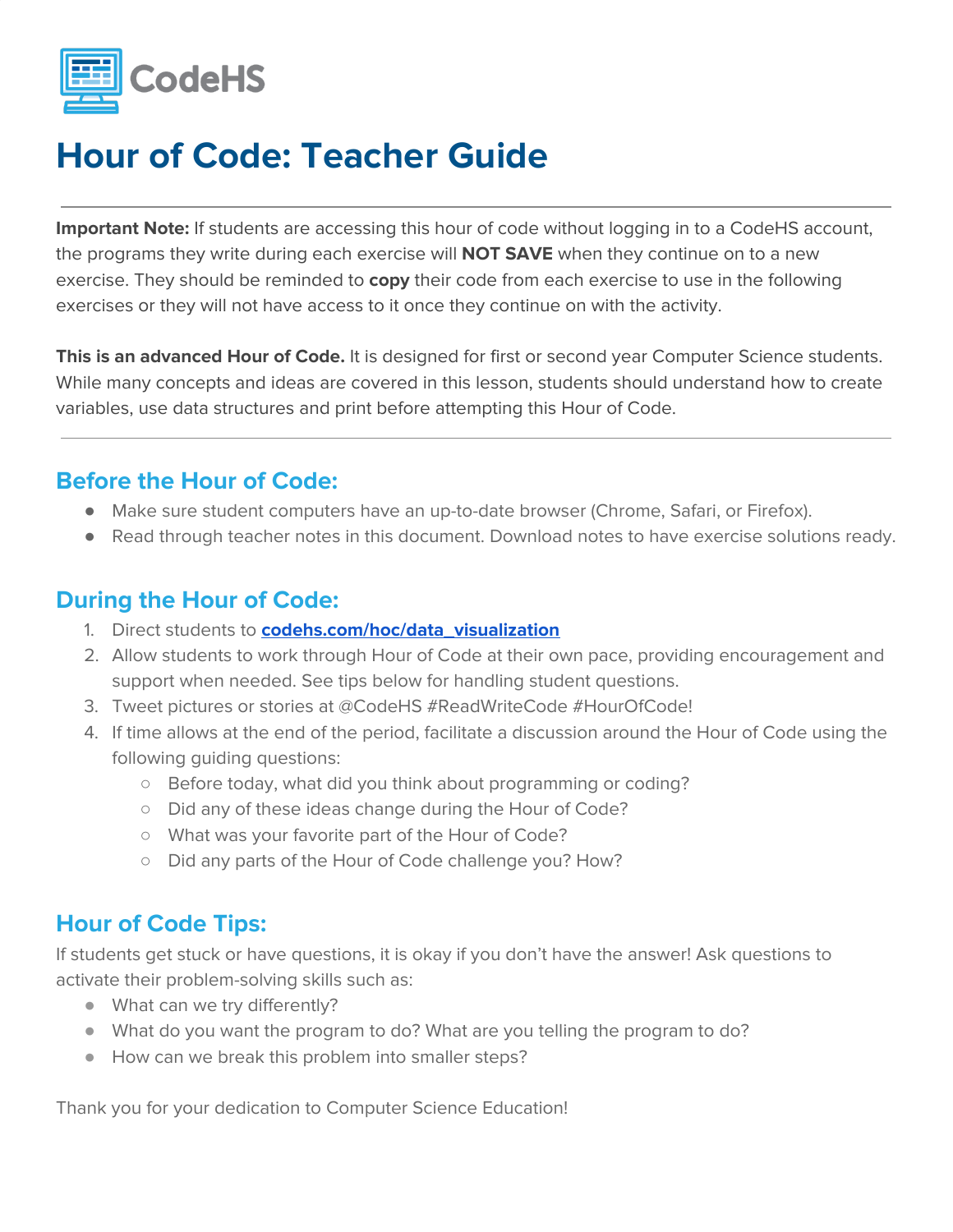

**Important Note:** If students are accessing this hour of code without logging in to a CodeHS account, the programs they write during each exercise will **NOT SAVE** when they continue on to a new exercise. They should be reminded to **copy** their code from each exercise to use in the following exercises or they will not have access to it once they continue on with the activity.

**This is an advanced Hour of Code.** It is designed for first or second year Computer Science students. While many concepts and ideas are covered in this lesson, students should understand how to create variables, use data structures and print before attempting this Hour of Code.

#### **Before the Hour of Code:**

- Make sure student computers have an up-to-date browser (Chrome, Safari, or Firefox).
- Read through teacher notes in this document. Download notes to have exercise solutions ready.

#### **During the Hour of Code:**

- 1. Direct students to **[codehs.com/hoc/data\\_visualization](http://codehs.com/hoc/data_visualization)**
- 2. Allow students to work through Hour of Code at their own pace, providing encouragement and support when needed. See tips below for handling student questions.
- 3. Tweet pictures or stories at @CodeHS #ReadWriteCode #HourOfCode!
- 4. If time allows at the end of the period, facilitate a discussion around the Hour of Code using the following guiding questions:
	- Before today, what did you think about programming or coding?
	- Did any of these ideas change during the Hour of Code?
	- What was your favorite part of the Hour of Code?
	- Did any parts of the Hour of Code challenge you? How?

#### **Hour of Code Tips:**

If students get stuck or have questions, it is okay if you don't have the answer! Ask questions to activate their problem-solving skills such as:

- What can we try differently?
- What do you want the program to do? What are you telling the program to do?
- How can we break this problem into smaller steps?

Thank you for your dedication to Computer Science Education!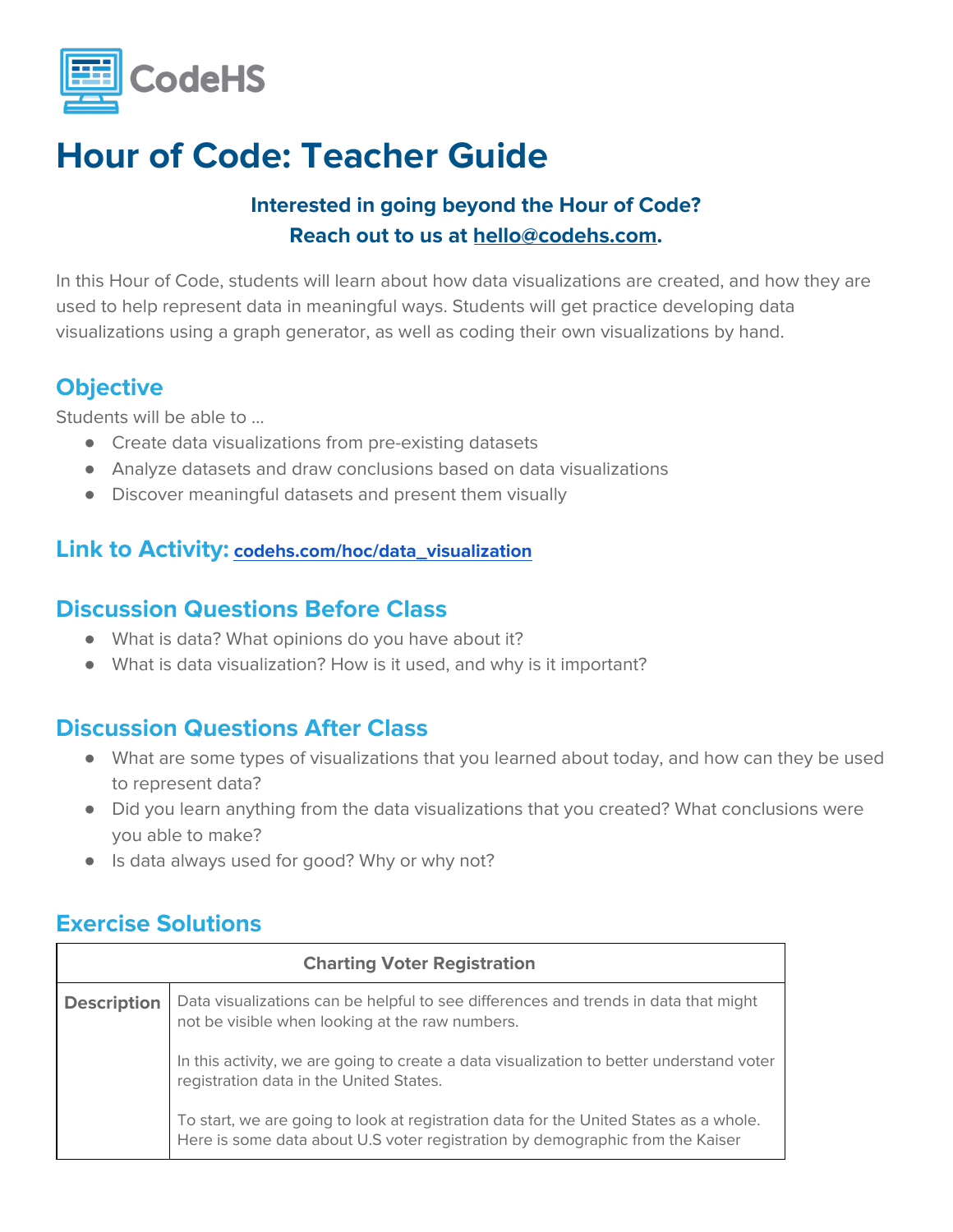

#### **Interested in going beyond the Hour of Code? Reach out to us at [hello@codehs.com](mailto:hello@codehs.com).**

In this Hour of Code, students will learn about how data visualizations are created, and how they are used to help represent data in meaningful ways. Students will get practice developing data visualizations using a graph generator, as well as coding their own visualizations by hand.

#### **Objective**

Students will be able to …

- Create data visualizations from pre-existing datasets
- Analyze datasets and draw conclusions based on data visualizations
- Discover meaningful datasets and present them visually

#### **Link to Activity: [codehs.com/hoc/data\\_visualization](http://codehs.com/hoc/data_visualization)**

#### **Discussion Questions Before Class**

- What is data? What opinions do you have about it?
- What is data visualization? How is it used, and why is it important?

#### **Discussion Questions After Class**

- What are some types of visualizations that you learned about today, and how can they be used to represent data?
- Did you learn anything from the data visualizations that you created? What conclusions were you able to make?
- Is data always used for good? Why or why not?

#### **Exercise Solutions**

| <b>Charting Voter Registration</b> |                                                                                                                                                                        |  |
|------------------------------------|------------------------------------------------------------------------------------------------------------------------------------------------------------------------|--|
| <b>Description</b>                 | Data visualizations can be helpful to see differences and trends in data that might<br>not be visible when looking at the raw numbers.                                 |  |
|                                    | In this activity, we are going to create a data visualization to better understand voter<br>registration data in the United States.                                    |  |
|                                    | To start, we are going to look at registration data for the United States as a whole.<br>Here is some data about U.S voter registration by demographic from the Kaiser |  |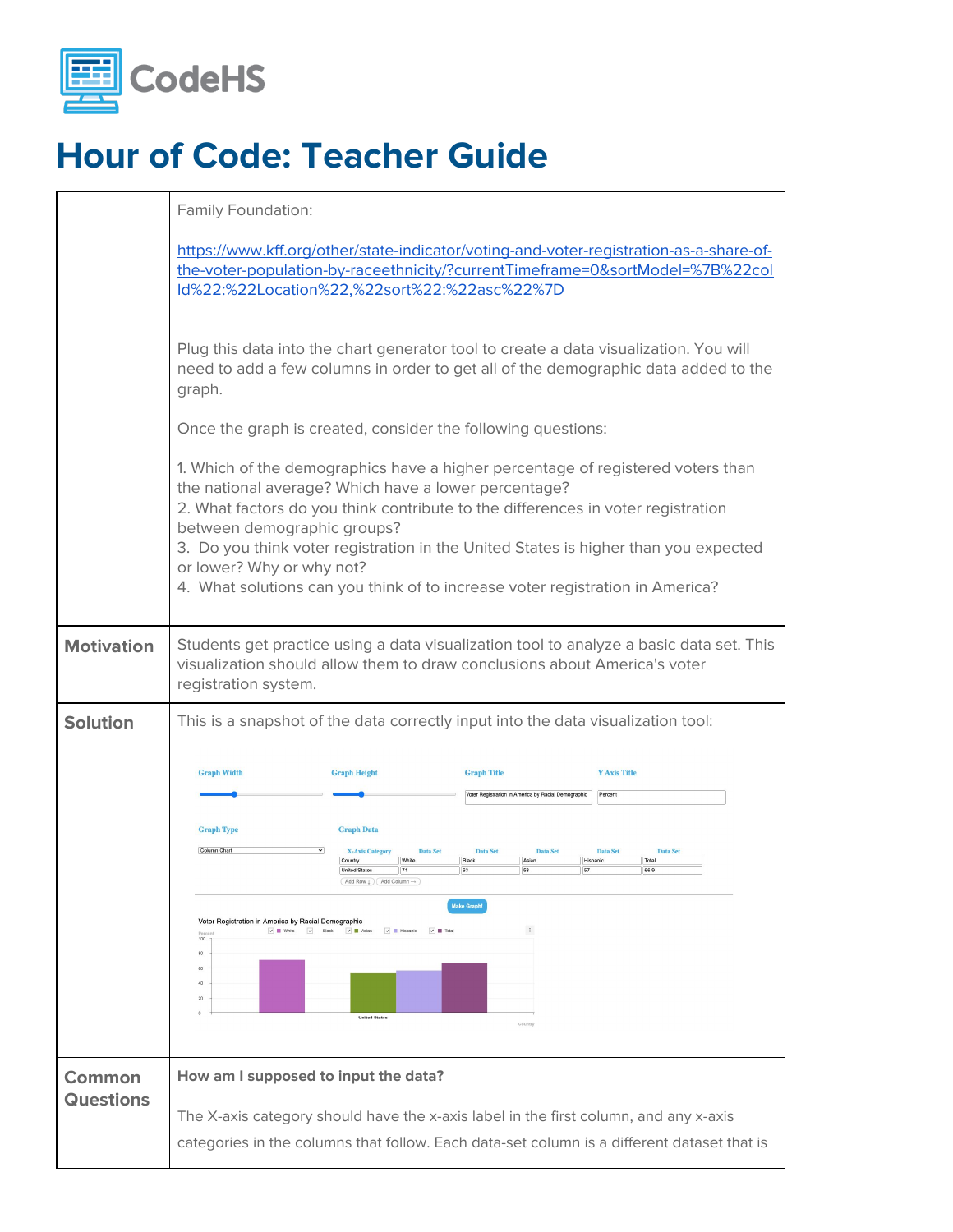

|                            | Family Foundation:                                                                                                                                                                                                                                                                                                                          |
|----------------------------|---------------------------------------------------------------------------------------------------------------------------------------------------------------------------------------------------------------------------------------------------------------------------------------------------------------------------------------------|
|                            | https://www.kff.org/other/state-indicator/voting-and-voter-registration-as-a-share-of-<br>the-voter-population-by-raceethnicity/?currentTimeframe=0&sortModel=%7B%22col<br>ld%22:%22Location%22,%22sort%22:%22asc%22%7D                                                                                                                     |
|                            | Plug this data into the chart generator tool to create a data visualization. You will<br>need to add a few columns in order to get all of the demographic data added to the<br>graph.                                                                                                                                                       |
|                            | Once the graph is created, consider the following questions:                                                                                                                                                                                                                                                                                |
|                            | 1. Which of the demographics have a higher percentage of registered voters than<br>the national average? Which have a lower percentage?<br>2. What factors do you think contribute to the differences in voter registration                                                                                                                 |
|                            | between demographic groups?<br>3. Do you think voter registration in the United States is higher than you expected<br>or lower? Why or why not?<br>4. What solutions can you think of to increase voter registration in America?                                                                                                            |
| <b>Motivation</b>          | Students get practice using a data visualization tool to analyze a basic data set. This<br>visualization should allow them to draw conclusions about America's voter<br>registration system.                                                                                                                                                |
| <b>Solution</b>            | This is a snapshot of the data correctly input into the data visualization tool:                                                                                                                                                                                                                                                            |
|                            | <b>Graph Width</b><br><b>Graph Height</b><br><b>Graph Title</b><br><b>Y Axis Title</b><br><b>/oter Registration in America by Racial Demographic</b><br>Percent                                                                                                                                                                             |
|                            | <b>Graph Type</b><br><b>Graph Data</b><br>Column Char<br><b>X-Axis Category</b><br><b>Data Set</b><br><b>Data Set</b><br><b>Data Set</b><br><b>Data Set</b><br>Data Set<br>Country<br>White<br>Black<br>Asian<br>Total<br>Hispanic<br><b>United States</b><br>71<br>53<br>66.9<br>$($ Add Row $\downarrow$ $)$ $($ Add Column $\rightarrow$ |
|                            | <b>Make Graph!</b><br>Voter Registration in America by Racial Demographic<br>$\pm$<br>$\checkmark$ White $\checkmark$ Black<br>$\vee$ <b>E</b> Asian<br>$\vee$ <b>El</b> Hispanic<br>$\triangledown$ $\blacksquare$ Total<br>100<br>80<br>60<br>20<br><b>United States</b><br>Country                                                       |
| Common<br><b>Questions</b> | How am I supposed to input the data?                                                                                                                                                                                                                                                                                                        |
|                            | The X-axis category should have the x-axis label in the first column, and any x-axis                                                                                                                                                                                                                                                        |
|                            | categories in the columns that follow. Each data-set column is a different dataset that is                                                                                                                                                                                                                                                  |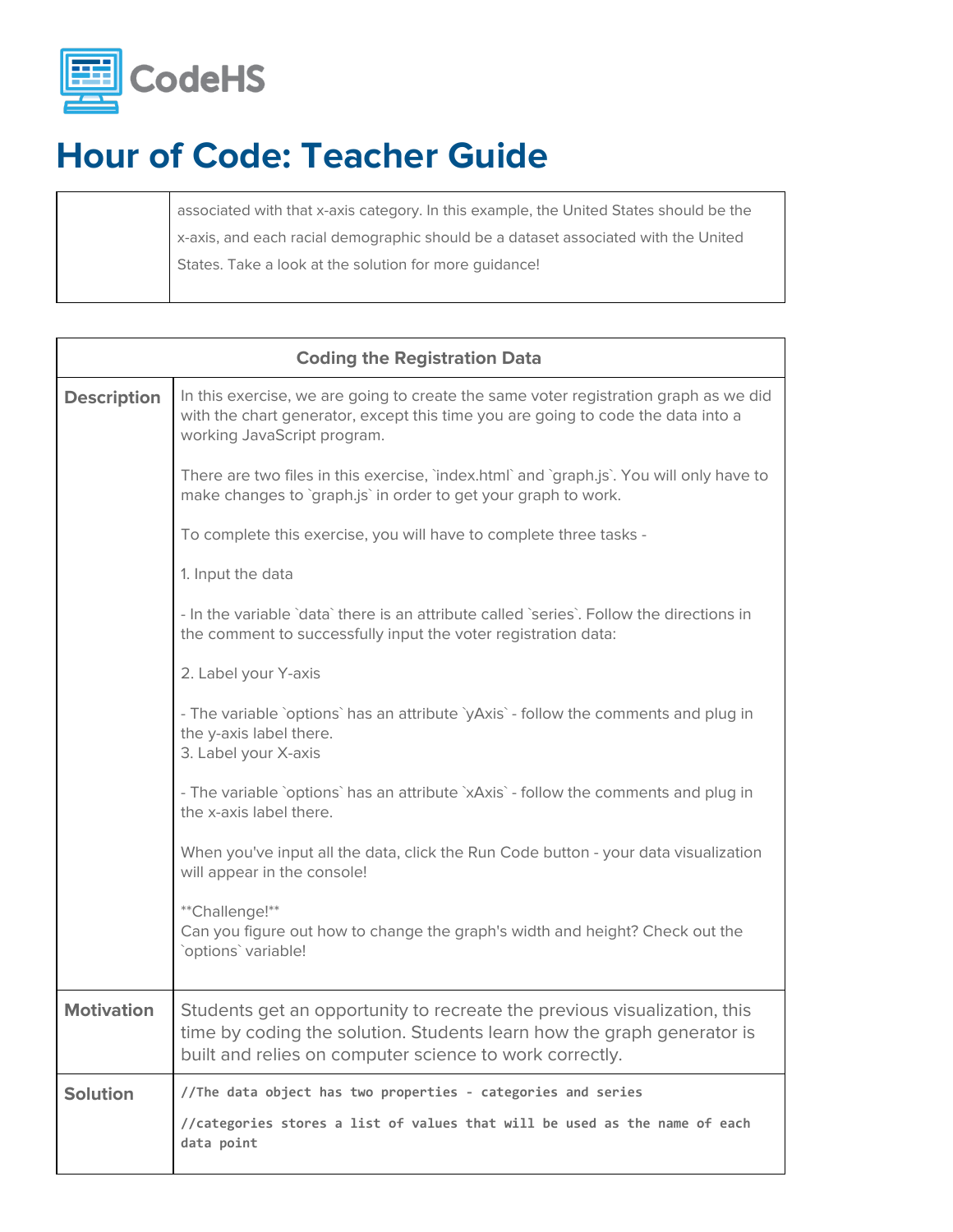

associated with that x-axis category. In this example, the United States should be the x-axis, and each racial demographic should be a dataset associated with the United States. Take a look at the solution for more guidance!

| <b>Coding the Registration Data</b> |                                                                                                                                                                                                               |  |
|-------------------------------------|---------------------------------------------------------------------------------------------------------------------------------------------------------------------------------------------------------------|--|
| <b>Description</b>                  | In this exercise, we are going to create the same voter registration graph as we did<br>with the chart generator, except this time you are going to code the data into a<br>working JavaScript program.       |  |
|                                     | There are two files in this exercise, 'index.html' and 'graph.js'. You will only have to<br>make changes to `graph.js` in order to get your graph to work.                                                    |  |
|                                     | To complete this exercise, you will have to complete three tasks -                                                                                                                                            |  |
|                                     | 1. Input the data                                                                                                                                                                                             |  |
|                                     | - In the variable `data` there is an attribute called `series`. Follow the directions in<br>the comment to successfully input the voter registration data:                                                    |  |
|                                     | 2. Label your Y-axis                                                                                                                                                                                          |  |
|                                     | - The variable `options` has an attribute `yAxis` - follow the comments and plug in<br>the y-axis label there.<br>3. Label your X-axis                                                                        |  |
|                                     | - The variable `options` has an attribute `xAxis` - follow the comments and plug in<br>the x-axis label there.                                                                                                |  |
|                                     | When you've input all the data, click the Run Code button - your data visualization<br>will appear in the console!                                                                                            |  |
|                                     | **Challenge!**<br>Can you figure out how to change the graph's width and height? Check out the<br>`options` variable!                                                                                         |  |
| <b>Motivation</b>                   | Students get an opportunity to recreate the previous visualization, this<br>time by coding the solution. Students learn how the graph generator is<br>built and relies on computer science to work correctly. |  |
| <b>Solution</b>                     | //The data object has two properties - categories and series                                                                                                                                                  |  |
|                                     | //categories stores a list of values that will be used as the name of each<br>data point                                                                                                                      |  |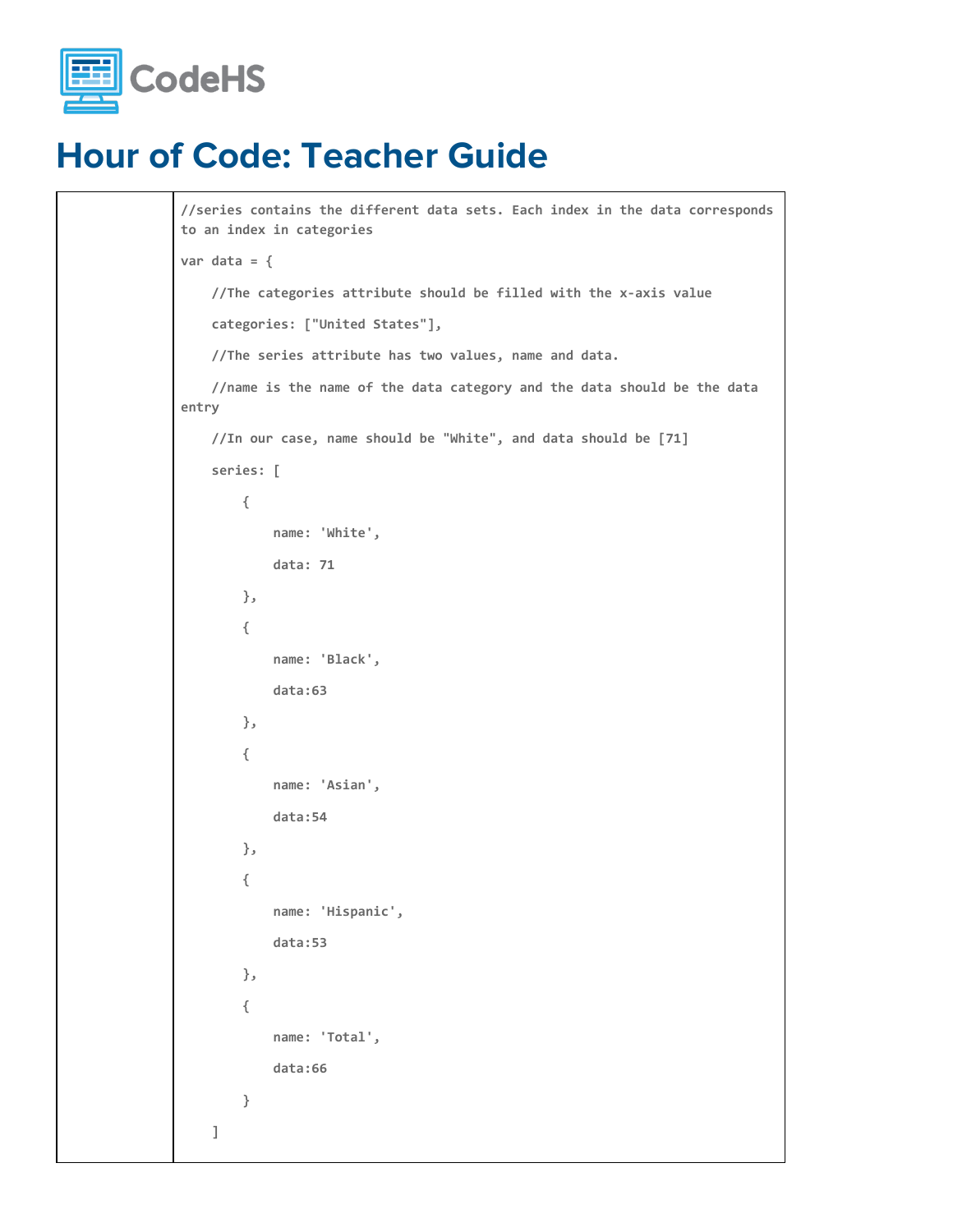

```
//series contains the different data sets. Each index in the data corresponds
to an index in categories
var data = {
     //The categories attribute should be filled with the x-axis value
     categories: ["United States"],
     //The series attribute has two values, name and data.
     //name is the name of the data category and the data should be the data
entry
     //In our case, name should be "White", and data should be [71]
     series: [
         {
             name: 'White',
             data: 71
         },
         {
             name: 'Black',
             data:63
         },
         {
             name: 'Asian',
             data:54
         },
         {
             name: 'Hispanic',
             data:53
         },
         {
             name: 'Total',
             data:66
         }
     ]
```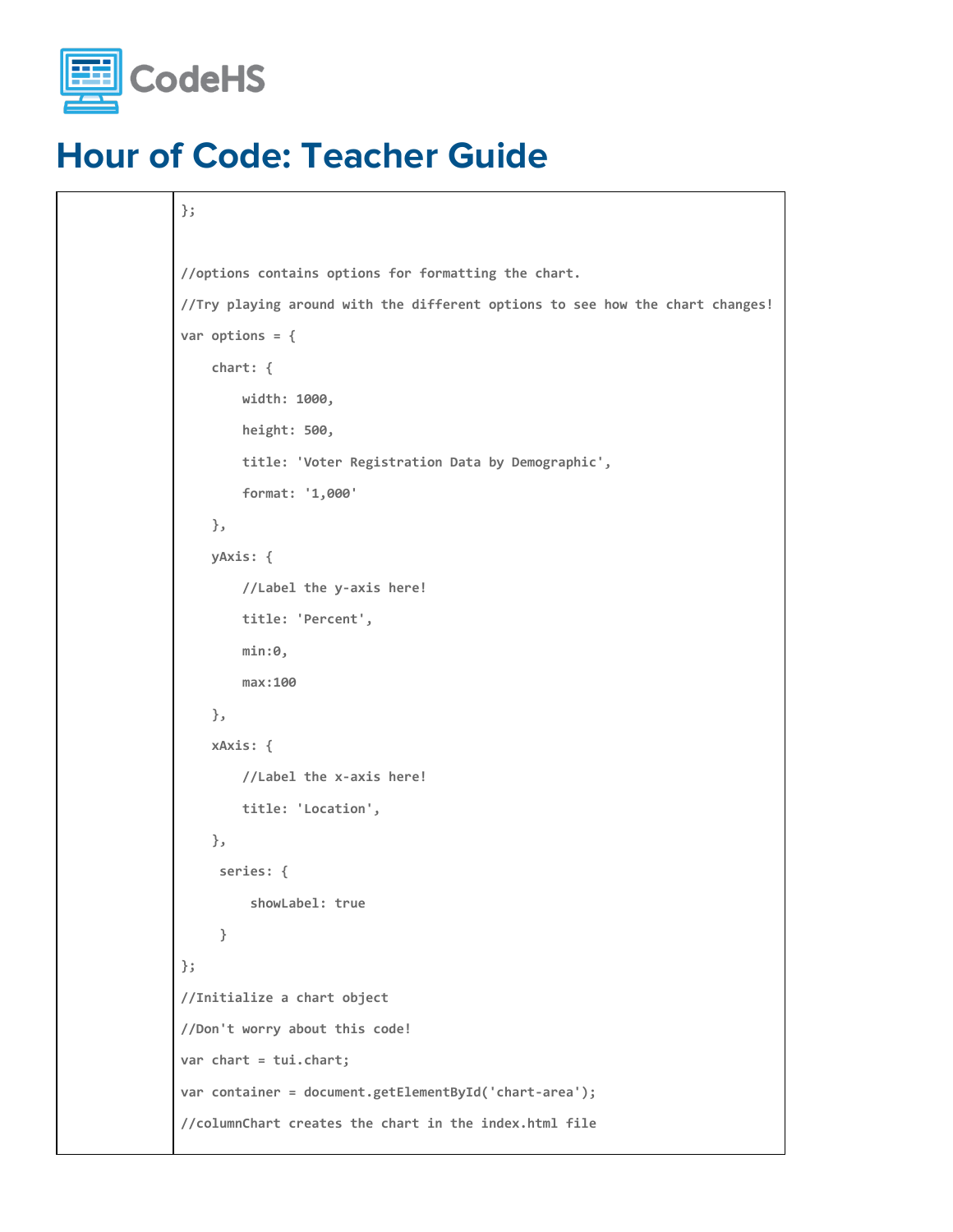

```
};
//options contains options for formatting the chart.
//Try playing around with the different options to see how the chart changes!
var options = {
    chart: {
         width: 1000,
        height: 500,
        title: 'Voter Registration Data by Demographic',
        format: '1,000'
    },
    yAxis: {
        //Label the y-axis here!
        title: 'Percent',
         min:0,
         max:100
    },
    xAxis: {
        //Label the x-axis here!
        title: 'Location',
    },
     series: {
          showLabel: true
      }
};
//Initialize a chart object
//Don't worry about this code!
var chart = tui.chart;
var container = document.getElementById('chart-area');
//columnChart creates the chart in the index.html file
```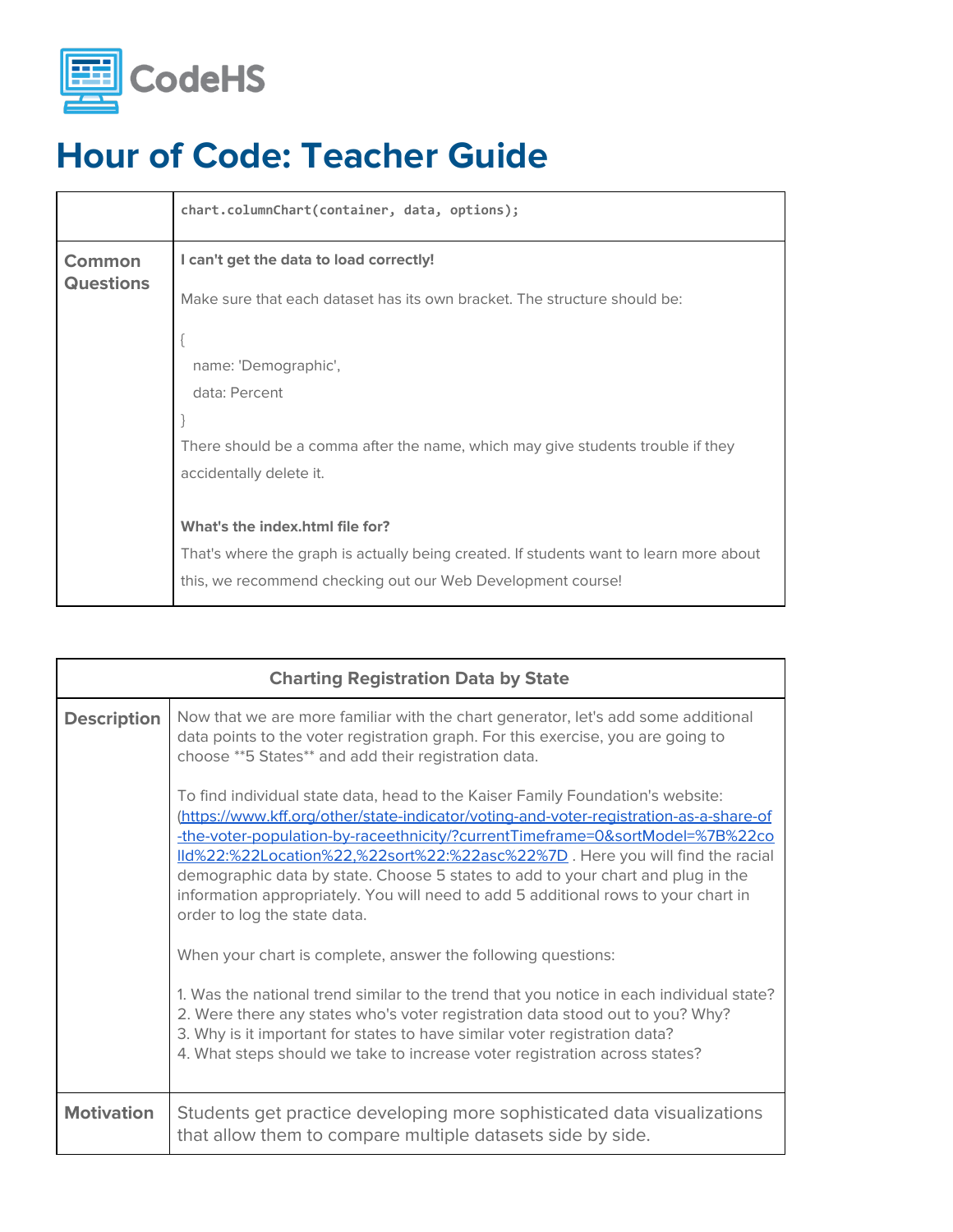

|                            | chart.columnChart(container, data, options);                                           |
|----------------------------|----------------------------------------------------------------------------------------|
| Common<br><b>Questions</b> | I can't get the data to load correctly!                                                |
|                            | Make sure that each dataset has its own bracket. The structure should be:              |
|                            |                                                                                        |
|                            | name: 'Demographic',                                                                   |
|                            | data: Percent                                                                          |
|                            |                                                                                        |
|                            | There should be a comma after the name, which may give students trouble if they        |
|                            | accidentally delete it.                                                                |
|                            |                                                                                        |
|                            | What's the index.html file for?                                                        |
|                            | That's where the graph is actually being created. If students want to learn more about |
|                            | this, we recommend checking out our Web Development course!                            |

| <b>Charting Registration Data by State</b> |                                                                                                                                                                                                                                                                                                                                                                                                                                                                                                                                                                             |  |
|--------------------------------------------|-----------------------------------------------------------------------------------------------------------------------------------------------------------------------------------------------------------------------------------------------------------------------------------------------------------------------------------------------------------------------------------------------------------------------------------------------------------------------------------------------------------------------------------------------------------------------------|--|
| <b>Description</b>                         | Now that we are more familiar with the chart generator, let's add some additional<br>data points to the voter registration graph. For this exercise, you are going to<br>choose ** 5 States** and add their registration data.<br>To find individual state data, head to the Kaiser Family Foundation's website:<br>(https://www.kff.org/other/state-indicator/voting-and-voter-registration-as-a-share-of<br>-the-voter-population-by-raceethnicity/?currentTimeframe=0&sortModel=%7B%22co<br>lld%22:%22Location%22,%22sort%22:%22asc%22%7D. Here you will find the racial |  |
|                                            | demographic data by state. Choose 5 states to add to your chart and plug in the<br>information appropriately. You will need to add 5 additional rows to your chart in<br>order to log the state data.                                                                                                                                                                                                                                                                                                                                                                       |  |
|                                            | When your chart is complete, answer the following questions:<br>1. Was the national trend similar to the trend that you notice in each individual state?<br>2. Were there any states who's voter registration data stood out to you? Why?<br>3. Why is it important for states to have similar voter registration data?<br>4. What steps should we take to increase voter registration across states?                                                                                                                                                                       |  |
| <b>Motivation</b>                          | Students get practice developing more sophisticated data visualizations<br>that allow them to compare multiple datasets side by side.                                                                                                                                                                                                                                                                                                                                                                                                                                       |  |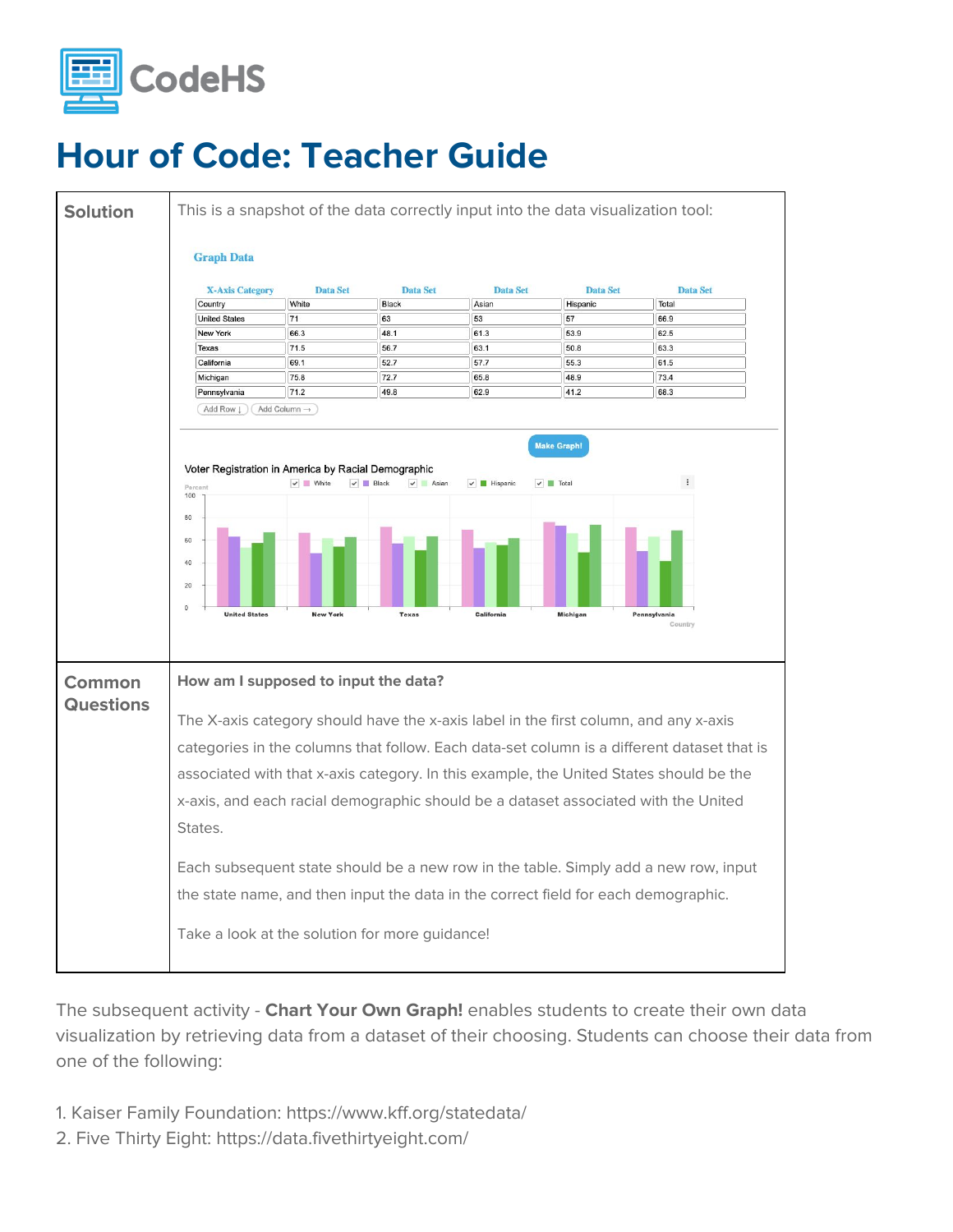



The subsequent activity - **Chart Your Own Graph!** enables students to create their own data visualization by retrieving data from a dataset of their choosing. Students can choose their data from one of the following:

- 1. Kaiser Family Foundation: https://www.kff.org/statedata/
- 2. Five Thirty Eight: https://data.fivethirtyeight.com/